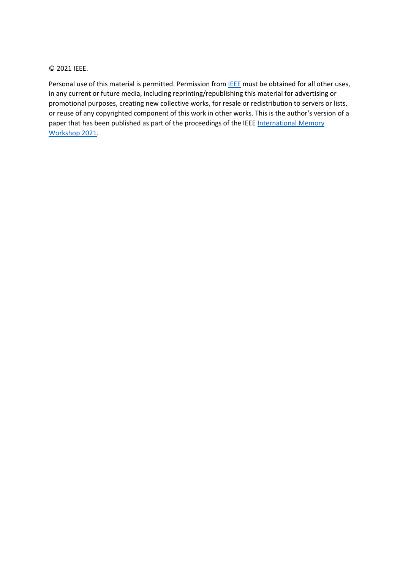© 2021 IEEE.

Personal use of this material is permitted. Permission from **IEEE** must be obtained for all other uses, in any current or future media, including reprinting/republishing this material for advertising or promotional purposes, creating new collective works, for resale or redistribution to servers or lists, or reuse of any copyrighted component of this work in other works. This is the author's version of a paper that has been published as part of the proceedings of the IEEE International Memory [Workshop 2021.](https://www.ewh.ieee.org/soc/eds/imw/index.htm)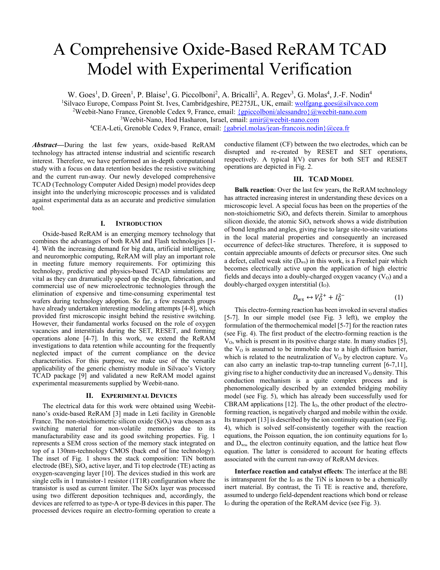# A Comprehensive Oxide-Based ReRAM TCAD Model with Experimental Verification

W. Goes<sup>1</sup>, D. Green<sup>1</sup>, P. Blaise<sup>1</sup>, G. Piccolboni<sup>2</sup>, A. Bricalli<sup>2</sup>, A. Regev<sup>3</sup>, G. Molas<sup>4</sup>, J.-F. Nodin<sup>4</sup>

<sup>1</sup>Silvaco Europe, Compass Point St. Ives, Cambridgeshire, PE275JL, UK, email: wolfgang.goes@silvaco.com

<sup>2</sup>Weebit-Nano France, Grenoble Cedex 9, France, email:  $\{gpiccolboni/alessandro\}$ @weebit-nano.com

<sup>4</sup>CEA-Leti, Grenoble Cedex 9, France, email: {gabriel.molas/jean-francois.nodin}@cea.fr

*Abstract***—**During the last few years, oxide-based ReRAM technology has attracted intense industrial and scientific research interest. Therefore, we have performed an in-depth computational study with a focus on data retention besides the resistive switching and the current run-away. Our newly developed comprehensive TCAD (Technology Computer Aided Design) model provides deep insight into the underlying microscopic processes and is validated against experimental data as an accurate and predictive simulation tool.

#### **I. INTRODUCTION**

Oxide-based ReRAM is an emerging memory technology that combines the advantages of both RAM and Flash technologies [1- 4]. With the increasing demand for big data, artificial intelligence, and neuromorphic computing, ReRAM will play an important role in meeting future memory requirements. For optimizing this technology, predictive and physics-based TCAD simulations are vital as they can dramatically speed up the design, fabrication, and commercial use of new microelectronic technologies through the elimination of expensive and time-consuming experimental test wafers during technology adoption. So far, a few research groups have already undertaken interesting modeling attempts [4-8], which provided first microscopic insight behind the resistive switching. However, their fundamental works focused on the role of oxygen vacancies and interstitials during the SET, RESET, and forming operations alone [4-7]. In this work, we extend the ReRAM investigations to data retention while accounting for the frequently neglected impact of the current compliance on the device characteristics. For this purpose, we make use of the versatile applicability of the generic chemistry module in Silvaco's Victory TCAD package [9] and validated a new ReRAM model against experimental measurements supplied by Weebit-nano.

#### **II. EXPERIMENTAL DEVICES**

The electrical data for this work were obtained using Weebitnano's oxide-based ReRAM [3] made in Leti facility in Grenoble France. The non-stoichiometric silicon oxide  $(SiO<sub>x</sub>)$  was chosen as a switching material for non-volatile memories due to its manufacturability ease and its good switching properties. Fig. 1 represents a SEM cross section of the memory stack integrated on top of a 130nm-technology CMOS (back end of line technology). The inset of Fig. 1 shows the stack composition: TiN bottom electrode (BE),  $SiO_x$  active layer, and Ti top electrode (TE) acting as oxygen-scavenging layer [10]. The devices studied in this work are single cells in 1 transistor-1 resistor (1T1R) configuration where the transistor is used as current limiter. The SiOx layer was processed using two different deposition techniques and, accordingly, the devices are referred to as type-A or type-B devices in this paper. The processed devices require an electro-forming operation to create a conductive filament (CF) between the two electrodes, which can be disrupted and re-created by RESET and SET operations, respectively. A typical I(V) curves for both SET and RESET operations are depicted in Fig. 2.

## **III. TCAD MODEL**

**Bulk reaction**: Over the last few years, the ReRAM technology has attracted increasing interest in understanding these devices on a microscopic level. A special focus has been on the properties of the non-stoichiometric  $SiO<sub>x</sub>$  and defects therein. Similar to amorphous silicon dioxide, the atomic  $SiO<sub>x</sub>$  network shows a wide distribution of bond lengths and angles, giving rise to large site-to-site variations in the local material properties and consequently an increased occurrence of defect-like structures. Therefore, it is supposed to contain appreciable amounts of defects or precursor sites. One such a defect, called weak site  $(D_{ws})$  in this work, is a Frenkel pair which becomes electrically active upon the application of high electric fields and decays into a doubly-charged oxygen vacancy  $(V<sub>O</sub>)$  and a doubly-charged oxygen interstitial (I<sub>O</sub>).

$$
D_{\rm ws} \leftrightarrow V_0^{2+} + I_0^{2-} \tag{1}
$$

This electro-forming reaction has been invoked in several studies [5-7]. In our simple model (see Fig. 3 left), we employ the formulation of the thermochemical model [5-7] for the reaction rates (see Fig. 4). The first product of the electro-forming reaction is the  $V<sub>0</sub>$ , which is present in its positive charge state. In many studies [5], the  $V<sub>0</sub>$  is assumed to be immobile due to a high diffusion barrier, which is related to the neutralization of  $V<sub>0</sub>$  by electron capture.  $V<sub>0</sub>$ can also carry an inelastic trap-to-trap tunneling current [6-7,11], giving rise to a higher conductivity due an increased  $V_0$  density. This conduction mechanism is a quite complex process and is phenomenologically described by an extended bridging mobility model (see Fig. 5), which has already been successfully used for CBRAM applications  $[12]$ . The  $I<sub>0</sub>$ , the other product of the electroforming reaction, is negatively charged and mobile within the oxide. Its transport [13] is described by the ion continuity equation (see Fig. 4), which is solved self-consistently together with the reaction equations, the Poisson equation, the ion continuity equations for  $I_0$ and Dws, the electron continuity equation, and the lattice heat flow equation. The latter is considered to account for heating effects associated with the current run-away of ReRAM devices.

**Interface reaction and catalyst effects**: The interface at the BE is intransparent for the  $I_0$  as the TiN is known to be a chemically inert material. By contrast, the Ti TE is reactive and, therefore, assumed to undergo field-dependent reactions which bond or release I<sub>O</sub> during the operation of the ReRAM device (see Fig. 3).

<sup>&</sup>lt;sup>3</sup>Weebit-Nano, Hod Hasharon, Israel, email: amir@weebit-nano.com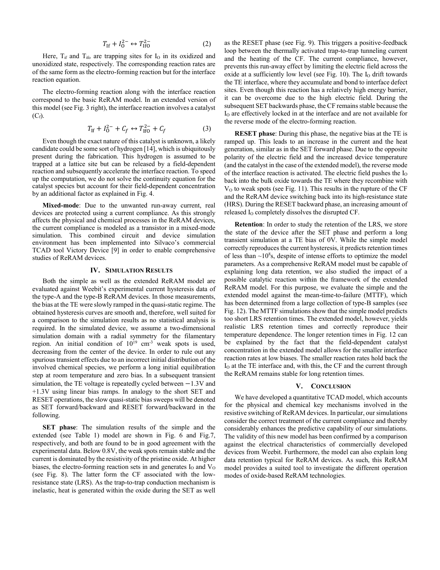$$
T_{\rm If} + I_0^{2-} \leftrightarrow T_{\rm IfO}^{2-} \tag{2}
$$

Here,  $T_{if}$  and  $T_{ifo}$  are trapping sites for  $I<sub>O</sub>$  in its oxidized and unoxidized state, respectively. The corresponding reaction rates are of the same form as the electro-forming reaction but for the interface reaction equation.

The electro-forming reaction along with the interface reaction correspond to the basic ReRAM model. In an extended version of this model (see Fig. 3 right), the interface reaction involves a catalyst  $(C_f)$ .

$$
T_{\rm If} + I_0^{2-} + C_f \leftrightarrow T_{\rm If0}^{2-} + C_f \tag{3}
$$

Even though the exact nature of this catalyst is unknown, a likely candidate could be some sort of hydrogen [14], which is ubiquitously present during the fabrication. This hydrogen is assumed to be trapped at a lattice site but can be released by a field-dependent reaction and subsequently accelerate the interface reaction. To speed up the computation, we do not solve the continuity equation for the catalyst species but account for their field-dependent concentration by an additional factor as explained in Fig. 4.

**Mixed-mode**: Due to the unwanted run-away current, real devices are protected using a current compliance. As this strongly affects the physical and chemical processes in the ReRAM devices, the current compliance is modeled as a transistor in a mixed-mode simulation. This combined circuit and device simulation environment has been implemented into Silvaco's commercial TCAD tool Victory Device [9] in order to enable comprehensive studies of ReRAM devices.

#### **IV. SIMULATION RESULTS**

Both the simple as well as the extended ReRAM model are evaluated against Weebit's experimental current hysteresis data of the type-A and the type-B ReRAM devices. In those measurements, the bias at the TE were slowly ramped in the quasi-static regime. The obtained hysteresis curves are smooth and, therefore, well suited for a comparison to the simulation results as no statistical analysis is required. In the simulated device, we assume a two-dimensional simulation domain with a radial symmetry for the filamentary region. An initial condition of  $10^{19}$  cm<sup>-3</sup> weak spots is used, decreasing from the center of the device. In order to rule out any spurious transient effects due to an incorrect initial distribution of the involved chemical species, we perform a long initial equilibration step at room temperature and zero bias. In a subsequent transient simulation, the TE voltage is repeatedly cycled between −1.3V and +1.3V using linear bias ramps. In analogy to the short SET and RESET operations, the slow quasi-static bias sweeps will be denoted as SET forward/backward and RESET forward/backward in the following.

**SET phase**: The simulation results of the simple and the extended (see Table 1) model are shown in Fig. 6 and Fig.7, respectively, and both are found to be in good agreement with the experimental data. Below 0.8V, the weak spots remain stable and the current is dominated by the resistivity of the pristine oxide. At higher biases, the electro-forming reaction sets in and generates  $I_0$  and  $V_0$ (see Fig. 8). The latter form the CF associated with the lowresistance state (LRS). As the trap-to-trap conduction mechanism is inelastic, heat is generated within the oxide during the SET as well

as the RESET phase (see Fig. 9). This triggers a positive-feedback loop between the thermally activated trap-to-trap tunneling current and the heating of the CF. The current compliance, however, prevents this run-away effect by limiting the electric field across the oxide at a sufficiently low level (see Fig. 10). The I<sub>O</sub> drift towards the TE interface, where they accumulate and bond to interface defect sites. Even though this reaction has a relatively high energy barrier, it can be overcome due to the high electric field. During the subsequent SET backwards phase, the CF remains stable because the I<sub>O</sub> are effectively locked in at the interface and are not available for the reverse mode of the electro-forming reaction.

**RESET phase**: During this phase, the negative bias at the TE is ramped up. This leads to an increase in the current and the heat generation, similar as in the SET forward phase. Due to the opposite polarity of the electric field and the increased device temperature (and the catalyst in the case of the extended model), the reverse mode of the interface reaction is activated. The electric field pushes the  $I_0$ back into the bulk oxide towards the TE where they recombine with  $V<sub>0</sub>$  to weak spots (see Fig. 11). This results in the rupture of the CF and the ReRAM device switching back into its high-resistance state (HRS). During the RESET backward phase, an increasing amount of released I<sub>O</sub> completely dissolves the disrupted CF.

**Retention**: In order to study the retention of the LRS, we store the state of the device after the SET phase and perform a long transient simulation at a TE bias of 0V. While the simple model correctly reproduces the current hysteresis, it predicts retention times of less than  $\sim 10^8$ s, despite of intense efforts to optimize the model parameters. As a comprehensive ReRAM model must be capable of explaining long data retention, we also studied the impact of a possible catalytic reaction within the framework of the extended ReRAM model. For this purpose, we evaluate the simple and the extended model against the mean-time-to-failure (MTTF), which has been determined from a large collection of type-B samples (see Fig. 12). The MTTF simulations show that the simple model predicts too short LRS retention times. The extended model, however, yields realistic LRS retention times and correctly reproduce their temperature dependence. The longer retention times in Fig. 12 can be explained by the fact that the field-dependent catalyst concentration in the extended model allows for the smaller interface reaction rates at low biases. The smaller reaction rates hold back the I<sub>O</sub> at the TE interface and, with this, the CF and the current through the ReRAM remains stable for long retention times.

## **V. CONCLUSION**

We have developed a quantitative TCAD model, which accounts for the physical and chemical key mechanisms involved in the resistive switching of ReRAM devices. In particular, our simulations consider the correct treatment of the current compliance and thereby considerably enhances the predictive capability of our simulations. The validity of this new model has been confirmed by a comparison against the electrical characteristics of commercially developed devices from Weebit. Furthermore, the model can also explain long data retention typical for ReRAM devices. As such, this ReRAM model provides a suited tool to investigate the different operation modes of oxide-based ReRAM technologies.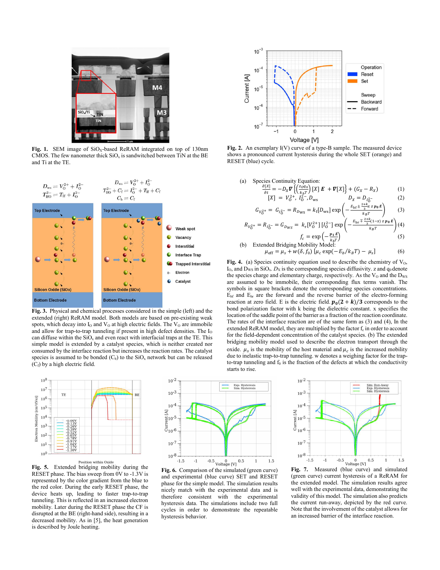

Fig. 1. SEM image of SiO<sub>x</sub>-based ReRAM integrated on top of 130nm CMOS. The few nanometer thick  $SiO<sub>x</sub>$  is sandwitched between TiN at the BE and Ti at the TE.



**Fig. 3.** Physical and chemical processes considered in the simple (left) and the extended (right) ReRAM model. Both models are based on pre-existing weak spots, which decay into  $I_0$  and  $V_0$  at high electric fields. The  $V_0$  are immobile and allow for trap-to-trap tunneling if present in high defect densities. The I<sub>O</sub> can diffuse within the  $SiO<sub>x</sub>$  and even react with interfacial traps at the TE. This simple model is extended by a catalyst species, which is neither created nor consumed by the interface reaction but increases the reaction rates. The catalyst species is assumed to be bonded  $(C_b)$  to the SiO<sub>x</sub> network but can be released  $(C_f)$  by a high electric field.



**Fig. 5.** Extended bridging mobility during the RESET phase. The bias sweep from 0V to -1.3V is represented by the color gradient from the blue to the red color. During the early RESET phase, the device heats up, leading to faster trap-to-trap tunneling. This is reflected in an increased electron mobility. Later during the RESET phase the CF is disrupted at the BE (right-hand side), resulting in a decreased mobility. As in [5], the heat generation is described by Joule heating.



**Fig. 6.** Comparison of the simulated (green curve) and experimental (blue curve) SET and RESET phase for the simple model. The simulation results nicely match with the experimental data and is therefore consistent with the experimental hysteresis data. The simulations include two full cycles in order to demonstrate the repeatable hysteresis behavior.



**Fig. 2.** An exemplary I(V) curve of a type-B sample. The measured device shows a pronounced current hysteresis during the whole SET (orange) and RESET (blue) cycle.

(a) Species Continuity Equation:  
\n
$$
\frac{\partial[X]}{\partial t} = -D_X \mathbf{\nabla} \left\{ \left( \frac{z_0 q_0}{k_b T} \right) [X] \mathbf{E} + \mathbf{\nabla} [X] \right\} + (G_X - R_X)
$$
\n
$$
[X] = V_0^{2+}, I_0^{2-}, D_{ws} \qquad D_X = D_{I_0^{2-}} \qquad (2)
$$

$$
G_{V_0^{2+}} = G_{I_0^{2-}} = R_{D_{\text{WS}}} = k_f[D_{\text{ws}}] \exp\left(-\frac{E_{\text{bf}} \pm \frac{2 + k}{3} x z p_0 E}{k_B T}\right) \tag{3}
$$

$$
R_{V_0^{2+}} = R_{I_0^{2-}} = G_{D_{WS}} = k_r [V_0^{2+}] [I_0^{2-}] \exp\left(-\frac{E_{\rm br} \mp \frac{2+k}{3} (1-x) z p_0 E}{k_B T}\right) (4)
$$
  

$$
f_c = \exp\left(-\frac{p_1 E}{k_B T}\right) \tag{5}
$$

(b) Extended Bridging Mobility Model:  
\n
$$
\mu_{\text{eff}} = \mu_s + w(\delta, f_0) [\mu_c \exp(-E_b/k_B T) - \mu_s]
$$
\n(6)

Fig. 4. (a) Species continuity equation used to describe the chemistry of  $V_0$ ,  $I_0$ , and  $D_{WS}$  in  $SiO_x$ .  $D_X$  is the corresponding species diffusivity. z and  $q_0$  denote the species charge and elementary charge, respectively. As the  $V_0$  and the  $D_{WS}$ are assumed to be immobile, their corresponding flux terms vanish. The symbols in square brackets denote the corresponding species concentrations.  $E_{\text{bf}}$  and  $E_{\text{br}}$  are the forward and the reverse barrier of the electro-forming reaction at zero field. E is the electric field.  $p_0(2 + k)/3$  corresponds to the bond polarization factor with k being the dielectric constant. x specifies the location of the saddle point of the barrier as a fraction of the reaction coordinate. The rates of the interface reaction are of the same form as (3) and (4), In the extended ReRAM model, they are multiplied by the factor  $f_c$  in order to account for the field-dependent concentration of the catalyst species. (b) The extended bridging mobility model used to describe the electron transport through the oxide.  $\mu_s$  is the mobility of the host material and  $\mu_c$  is the increased mobility due to inelastic trap-to-trap tunneling. w denotes a weighing factor for the trapto-trap tunneling and  $f_0$  is the fraction of the defects at which the conductivity starts to rise.

 $10^{-2}$ Sim:<br>Exp:  $10^{-3}$  $10<sup>2</sup>$  $\frac{1}{2}$ <br> $\frac{1}{10^{-5}}$  $10^{-6}$  $10^{-7}$  $10^{-8}$  $F$ **ig. 7.** Measured (blue curve) and simulated  $-1.5$  $-1$  $0.5$  $1.5$ 

(green curve) current hysteresis of a ReRAM for the extended model. The simulation results agree well with the experimental data, demonstrating the validity of this model. The simulation also predicts the current run-away, depicted by the red curve. Note that the involvement of the catalyst allows for an increased barrier of the interface reaction.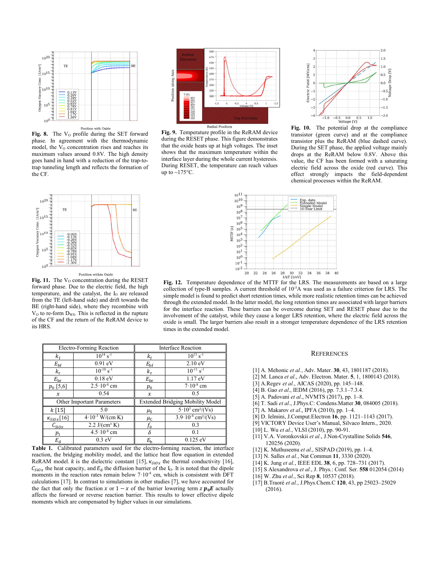

Fig. 8. The V<sub>o</sub> profile during the SET forward phase. In agreement with the thermodynamic model, the  $V_0$  concentration rises and reaches its maximum values around 0.8V. The high density goes hand in hand with a reduction of the trap-totrap tunneling length and reflects the formation of the CF.



**Fig. 9.** Temperature profile in the ReRAM device during the RESET phase. This figure demonstrates that the oxide heats up at high voltages. The inset shows that the maximum temperature within the interface layer during the whole current hysteresis. During RESET, the temperature can reach values up to  $\sim$ 175 $\degree$ C.



**Fig. 10.** The potential drop at the compliance transistor (green curve) and at the compliance transistor plus the ReRAM (blue dashed curve). During the SET phase, the applied voltage mainly drops at the ReRAM below 0.8V. Above this value, the CF has been formed with a saturating electric field across the oxide (red curve). This effect strongly impacts the field-dependent chemical processes within the ReRAM.



Fig. 11. The V<sub>o</sub> concentration during the RESET forward phase. Due to the electric field, the high temperature, and the catalyst, the  $I_0$  are released from the TE (left-hand side) and drift towards the BE (right-hand side), where they recombine with V<sub>O</sub> to re-form D<sub>WS</sub>. This is reflected in the rupture of the CF and the return of the ReRAM device to its HRS.



**Fig. 12.** Temperature dependence of the MTTF for the LRS. The measurements are based on a large collection of type-B samples. A current threshold of 10<sup>-5</sup>A was used as a failure criterion for LRS. The simple model is found to predict short retention times, while more realistic retention times can be achieved through the extended model. In the latter model, the long retention times are associated with larger barriers for the interface reaction. These barriers can be overcome during SET and RESET phase due to the involvement of the catalyst, while they cause a longer LRS retention, where the electric field across the oxide is small. The larger barriers also result in a stronger temperature dependence of the LRS retention times in the extended model.

| Electro-Forming Reaction   |                            | <b>Interface Reaction</b>               |                                           |
|----------------------------|----------------------------|-----------------------------------------|-------------------------------------------|
| $k_{\rm f}$                | $10^{14}$ s <sup>-1</sup>  | κ <sub>f</sub>                          | $10^{13}$ s <sup>-1</sup>                 |
| $E_{\rm bf}$               | $0.91$ eV                  | $E_{\rm bf}$                            | 2.10 eV                                   |
| $k_r$                      | $10^{-10}$ s <sup>-1</sup> | $k_{r}$                                 | $10^{-11}$ s <sup>-1</sup>                |
| $E_{\rm br}$               | $0.18$ eV                  | $E_{\rm br}$                            | $1.17 \text{ eV}$                         |
| $p_0$ [5,6]                | $2.5 \cdot 10^{-8}$ cm     | $p_{0}$                                 | $7.10^{-8}$ cm                            |
| $\boldsymbol{\chi}$        | 0.54                       | $\boldsymbol{x}$                        | 0.5                                       |
| Other Important Parameters |                            | <b>Extended Bridging Mobility Model</b> |                                           |
| $k$ [15]                   | 5.0                        | $\mu_{\rm S}$                           | $5.10^3$ cm <sup>2</sup> /(Vs)            |
| $\kappa_{SiOx}[16]$        | $4.10^{-3}$ W/(cm K)       | $\mu_{\text{C}}$                        | $3.9 \cdot 10^{-4}$ cm <sup>2</sup> /(Vs) |
| $\iota_{\text{siox}}$      | 2.2 $J/(cm^3 K)$           | $f_{\rm 0}$                             | 0.3                                       |
| $p_{1}$                    | $4.5 \cdot 10^{-8}$ cm     | δ                                       | 0.1                                       |
| $E_{\rm d}$                | $0.3$ eV                   | $E_{\rm b}$                             | $0.125 \text{ eV}$                        |

**Table 1.** Calibrated parameters used for the electro-forming reaction, the interface reaction, the bridging mobility model, and the lattice heat flow equation in extended ReRAM model. k is the dielectric constant [15],  $\kappa_{SiOx}$  the thermal conductivity [16],  $C_{SiOx}$  the heat capacity, and  $E_d$  the diffusion barrier of the I<sub>O</sub>. It is noted that the dipole moments in the reaction rates remain below  $7 \cdot 10^{-8}$  cm, which is consistent with DFT calculations [17]. In contrast to simulations in other studies [7], we have accounted for the fact that only the fraction  $x$  or  $1 - x$  of the barrier lowering term  $z \mathbf{p}_0 \mathbf{E}$  actually affects the forward or reverse reaction barrier. This results to lower effective dipole moments which are compensated by higher values in our simulations.

**REFERENCES** 

- [1] A. Mehonic *et al.*, Adv. Mater. **30**, 43, 1801187 (2018).
- [2] M. Lanca *et al*., Adv. Electron. Mater. **5**, 1, 1800143 (2018).
- [3] A.Regev *et al.*, AICAS (2020), pp. 145–148.
- [4] B. Gao *et al*., IEDM (2016), pp. 7.3.1–7.3.4.
- [5] A. Padovani *et al*., NVMTS (2017), pp. 1–8.
- [6] T. Sadi *et al*., J.Phys.C: Condens.Matter **30**, 084005 (2018).
- [7] A. Makarov *et al*., IPFA (2010), pp. 1–4.
- [8] D. Ielmini, J.Comput.Electron **16**, pp. 1121–1143 (2017).
- [9] VICTORY Device User's Manual, Silvaco Intern., 2020.
- [10] L. Wu *et al.*, VLSI (2010), pp. 90-91.
- [11] V.A. Voronkovskii *et al.*, J.Non-Crystalline Solids **546**, 120256 (2020).
- [12] K. Muthuseenu *et al*., SISPAD (2019), pp. 1–4.
- [13] N. Salles *et al.*, Nat Commun **11**, 3330 (2020).
- [14] K. Jung *et al.*, IEEE EDL **38**, 6, pp. 728–731 (2017).
- [15] S Alexandrova *et al.*, J. Phys.: Conf. Ser. **558** 012054 (2014)
- [16] W. Zhu *et al.*, Sci Rep **8**, 10537 (2018).
- [17] B.Traoré *et al.*, J.Phys.Chem.C **120**, 43, pp 25023–25029 (2016).